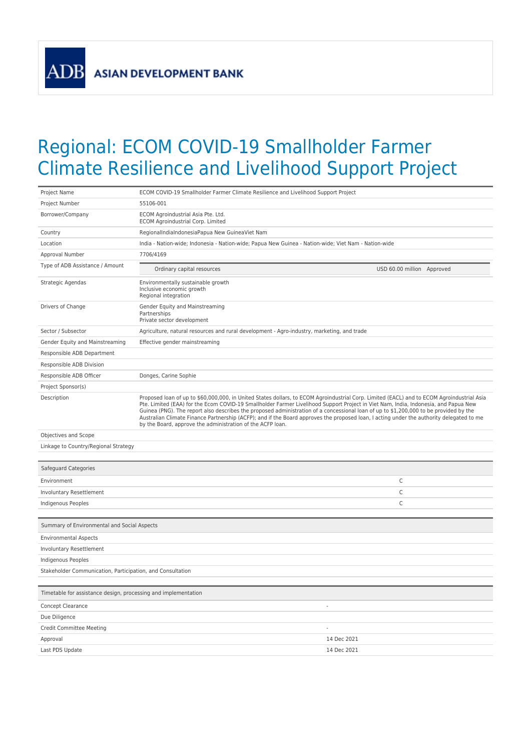**ADB** 

## Regional: ECOM COVID-19 Smallholder Farmer Climate Resilience and Livelihood Support Project

| Project Name                                                   | ECOM COVID-19 Smallholder Farmer Climate Resilience and Livelihood Support Project                                                                                                                                                                                                                                                                                                                                                                                                                                                                                                                                                   |                            |
|----------------------------------------------------------------|--------------------------------------------------------------------------------------------------------------------------------------------------------------------------------------------------------------------------------------------------------------------------------------------------------------------------------------------------------------------------------------------------------------------------------------------------------------------------------------------------------------------------------------------------------------------------------------------------------------------------------------|----------------------------|
| Project Number                                                 | 55106-001                                                                                                                                                                                                                                                                                                                                                                                                                                                                                                                                                                                                                            |                            |
| Borrower/Company                                               | ECOM Agroindustrial Asia Pte. Ltd.<br><b>ECOM Agroindustrial Corp. Limited</b>                                                                                                                                                                                                                                                                                                                                                                                                                                                                                                                                                       |                            |
| Country                                                        | RegionalIndiaIndonesiaPapua New GuineaViet Nam                                                                                                                                                                                                                                                                                                                                                                                                                                                                                                                                                                                       |                            |
| Location                                                       | India - Nation-wide; Indonesia - Nation-wide; Papua New Guinea - Nation-wide; Viet Nam - Nation-wide                                                                                                                                                                                                                                                                                                                                                                                                                                                                                                                                 |                            |
| Approval Number                                                | 7706/4169                                                                                                                                                                                                                                                                                                                                                                                                                                                                                                                                                                                                                            |                            |
| Type of ADB Assistance / Amount                                | Ordinary capital resources                                                                                                                                                                                                                                                                                                                                                                                                                                                                                                                                                                                                           | USD 60.00 million Approved |
| Strategic Agendas                                              | Environmentally sustainable growth<br>Inclusive economic growth<br>Regional integration                                                                                                                                                                                                                                                                                                                                                                                                                                                                                                                                              |                            |
| Drivers of Change                                              | Gender Equity and Mainstreaming<br>Partnerships<br>Private sector development                                                                                                                                                                                                                                                                                                                                                                                                                                                                                                                                                        |                            |
| Sector / Subsector                                             | Agriculture, natural resources and rural development - Agro-industry, marketing, and trade                                                                                                                                                                                                                                                                                                                                                                                                                                                                                                                                           |                            |
| Gender Equity and Mainstreaming                                | Effective gender mainstreaming                                                                                                                                                                                                                                                                                                                                                                                                                                                                                                                                                                                                       |                            |
| Responsible ADB Department                                     |                                                                                                                                                                                                                                                                                                                                                                                                                                                                                                                                                                                                                                      |                            |
| Responsible ADB Division                                       |                                                                                                                                                                                                                                                                                                                                                                                                                                                                                                                                                                                                                                      |                            |
| Responsible ADB Officer                                        | Donges, Carine Sophie                                                                                                                                                                                                                                                                                                                                                                                                                                                                                                                                                                                                                |                            |
| Project Sponsor(s)                                             |                                                                                                                                                                                                                                                                                                                                                                                                                                                                                                                                                                                                                                      |                            |
| Description                                                    | Proposed loan of up to \$60,000,000, in United States dollars, to ECOM Agroindustrial Corp. Limited (EACL) and to ECOM Agroindustrial Asia<br>Pte. Limited (EAA) for the Ecom COVID-19 Smallholder Farmer Livelihood Support Project in Viet Nam, India, Indonesia, and Papua New<br>Guinea (PNG). The report also describes the proposed administration of a concessional loan of up to \$1,200,000 to be provided by the<br>Australian Climate Finance Partnership (ACFP); and if the Board approves the proposed loan, I acting under the authority delegated to me<br>by the Board, approve the administration of the ACFP loan. |                            |
| Objectives and Scope                                           |                                                                                                                                                                                                                                                                                                                                                                                                                                                                                                                                                                                                                                      |                            |
| Linkage to Country/Regional Strategy                           |                                                                                                                                                                                                                                                                                                                                                                                                                                                                                                                                                                                                                                      |                            |
| Safeguard Categories                                           |                                                                                                                                                                                                                                                                                                                                                                                                                                                                                                                                                                                                                                      |                            |
| Environment                                                    |                                                                                                                                                                                                                                                                                                                                                                                                                                                                                                                                                                                                                                      | C                          |
| Involuntary Resettlement                                       |                                                                                                                                                                                                                                                                                                                                                                                                                                                                                                                                                                                                                                      | C                          |
| Indigenous Peoples                                             |                                                                                                                                                                                                                                                                                                                                                                                                                                                                                                                                                                                                                                      | $\mathsf C$                |
|                                                                |                                                                                                                                                                                                                                                                                                                                                                                                                                                                                                                                                                                                                                      |                            |
| Summary of Environmental and Social Aspects                    |                                                                                                                                                                                                                                                                                                                                                                                                                                                                                                                                                                                                                                      |                            |
| <b>Environmental Aspects</b>                                   |                                                                                                                                                                                                                                                                                                                                                                                                                                                                                                                                                                                                                                      |                            |
| Involuntary Resettlement                                       |                                                                                                                                                                                                                                                                                                                                                                                                                                                                                                                                                                                                                                      |                            |
| Indigenous Peoples                                             |                                                                                                                                                                                                                                                                                                                                                                                                                                                                                                                                                                                                                                      |                            |
| Stakeholder Communication, Participation, and Consultation     |                                                                                                                                                                                                                                                                                                                                                                                                                                                                                                                                                                                                                                      |                            |
|                                                                |                                                                                                                                                                                                                                                                                                                                                                                                                                                                                                                                                                                                                                      |                            |
| Timetable for assistance design, processing and implementation |                                                                                                                                                                                                                                                                                                                                                                                                                                                                                                                                                                                                                                      |                            |
| Concept Clearance                                              |                                                                                                                                                                                                                                                                                                                                                                                                                                                                                                                                                                                                                                      |                            |
| Due Diligence                                                  |                                                                                                                                                                                                                                                                                                                                                                                                                                                                                                                                                                                                                                      |                            |
| <b>Credit Committee Meeting</b>                                |                                                                                                                                                                                                                                                                                                                                                                                                                                                                                                                                                                                                                                      |                            |
| Approval                                                       |                                                                                                                                                                                                                                                                                                                                                                                                                                                                                                                                                                                                                                      | 14 Dec 2021                |
| Last PDS Update                                                |                                                                                                                                                                                                                                                                                                                                                                                                                                                                                                                                                                                                                                      | 14 Dec 2021                |